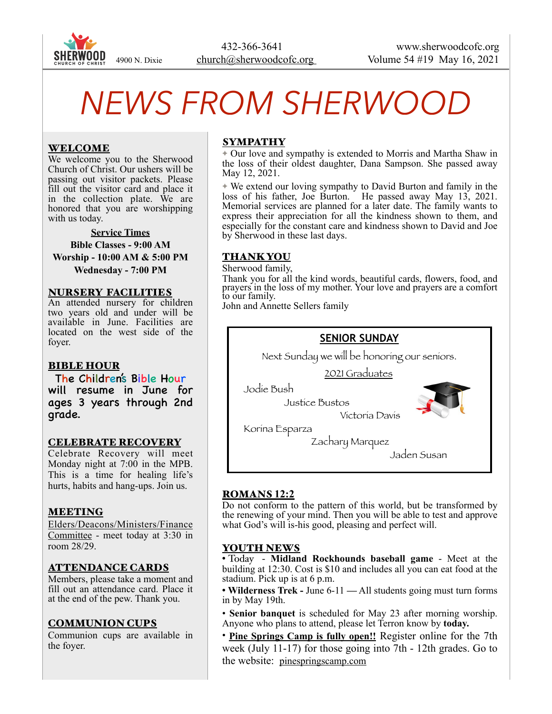

# *NEWS FROM SHERWOOD*

# WELCOME

We welcome you to the Sherwood Church of Christ. Our ushers will be passing out visitor packets. Please fill out the visitor card and place it in the collection plate. We are honored that you are worshipping with us today.

**Service Times Bible Classes - 9:00 AM Worship - 10:00 AM & 5:00 PM Wednesday - 7:00 PM** 

#### NURSERY FACILITIES

An attended nursery for children two years old and under will be available in June. Facilities are located on the west side of the foyer.

#### BIBLE HOUR

grade.

The Children's Bible Hour will resume in June for ages 3 years through 2nd

#### CELEBRATE RECOVERY

Celebrate Recovery will meet Monday night at 7:00 in the MPB. This is a time for healing life's hurts, habits and hang-ups. Join us.

#### MEETING

Elders/Deacons/Ministers/Finance Committee - meet today at 3:30 in room 28/29.

#### ATTENDANCE CARDS

Members, please take a moment and fill out an attendance card. Place it at the end of the pew. Thank you.

#### COMMUNION CUPS

Communion cups are available in the foyer.

# SYMPATHY

✦ Our love and sympathy is extended to Morris and Martha Shaw in the loss of their oldest daughter, Dana Sampson. She passed away May 12, 2021.

✦ We extend our loving sympathy to David Burton and family in the loss of his father, Joe Burton. He passed away May 13, 2021. Memorial services are planned for a later date. The family wants to express their appreciation for all the kindness shown to them, and especially for the constant care and kindness shown to David and Joe by Sherwood in these last days.

### THANK YOU

Sherwood family, Thank you for all the kind words, beautiful cards, flowers, food, and prayers in the loss of my mother. Your love and prayers are a comfort to our family.

John and Annette Sellers family



#### ROMANS **12:2**

Do not conform to the pattern of this world, but be transformed by the renewing of your mind. Then you will be able to test and approve what God's will is-his good, pleasing and perfect will.

#### YOUTH NEWS

• Today - **Midland Rockhounds baseball game** - Meet at the building at 12:30. Cost is \$10 and includes all you can eat food at the stadium. Pick up is at 6 p.m.

• **Wilderness Trek -** June 6-11 **—** All students going must turn forms in by May 19th.

• **Senior banquet** is scheduled for May 23 after morning worship. Anyone who plans to attend, please let Terron know by **today.** 

• **Pine Springs Camp is fully open!!** Register online for the 7th week (July 11-17) for those going into 7th - 12th grades. Go to the website: [pinespringscamp.com](http://pinespringscamp.com)